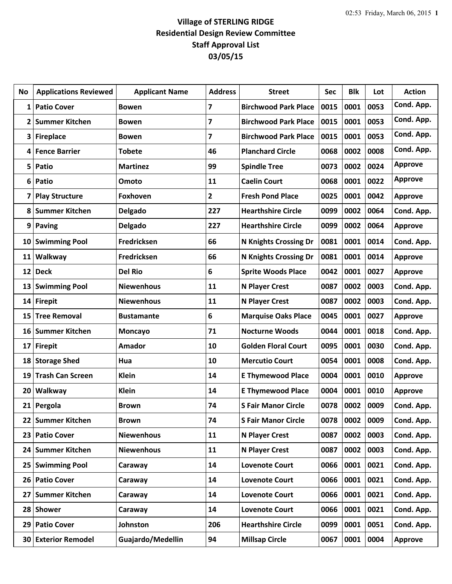## **Village of STERLING RIDGE Residential Design Review Committee Staff Approval List 03/05/15**

| <b>No</b> | <b>Applications Reviewed</b> | <b>Applicant Name</b> | <b>Address</b> | <b>Street</b>                | <b>Sec</b> | <b>Blk</b> | Lot  | <b>Action</b>  |
|-----------|------------------------------|-----------------------|----------------|------------------------------|------------|------------|------|----------------|
| 1         | <b>Patio Cover</b>           | <b>Bowen</b>          | $\overline{7}$ | <b>Birchwood Park Place</b>  | 0015       | 0001       | 0053 | Cond. App.     |
| 2         | <b>Summer Kitchen</b>        | <b>Bowen</b>          | 7              | <b>Birchwood Park Place</b>  | 0015       | 0001       | 0053 | Cond. App.     |
| 3         | <b>Fireplace</b>             | <b>Bowen</b>          | $\overline{7}$ | <b>Birchwood Park Place</b>  | 0015       | 0001       | 0053 | Cond. App.     |
| 4         | <b>Fence Barrier</b>         | <b>Tobete</b>         | 46             | <b>Planchard Circle</b>      | 0068       | 0002       | 0008 | Cond. App.     |
| 5         | Patio                        | <b>Martinez</b>       | 99             | <b>Spindle Tree</b>          | 0073       | 0002       | 0024 | <b>Approve</b> |
| 6         | Patio                        | Omoto                 | 11             | <b>Caelin Court</b>          | 0068       | 0001       | 0022 | <b>Approve</b> |
| 7         | <b>Play Structure</b>        | Foxhoven              | $\mathbf{2}$   | <b>Fresh Pond Place</b>      | 0025       | 0001       | 0042 | <b>Approve</b> |
| 8         | <b>Summer Kitchen</b>        | Delgado               | 227            | <b>Hearthshire Circle</b>    | 0099       | 0002       | 0064 | Cond. App.     |
| 9         | <b>Paving</b>                | Delgado               | 227            | <b>Hearthshire Circle</b>    | 0099       | 0002       | 0064 | <b>Approve</b> |
| 10        | <b>Swimming Pool</b>         | <b>Fredricksen</b>    | 66             | <b>N Knights Crossing Dr</b> | 0081       | 0001       | 0014 | Cond. App.     |
| 11        | Walkway                      | <b>Fredricksen</b>    | 66             | <b>N Knights Crossing Dr</b> | 0081       | 0001       | 0014 | Approve        |
| 12        | <b>Deck</b>                  | <b>Del Rio</b>        | 6              | <b>Sprite Woods Place</b>    | 0042       | 0001       | 0027 | <b>Approve</b> |
| 13        | <b>Swimming Pool</b>         | <b>Niewenhous</b>     | 11             | <b>N Player Crest</b>        | 0087       | 0002       | 0003 | Cond. App.     |
| 14        | <b>Firepit</b>               | <b>Niewenhous</b>     | 11             | <b>N Player Crest</b>        | 0087       | 0002       | 0003 | Cond. App.     |
| 15        | <b>Tree Removal</b>          | <b>Bustamante</b>     | 6              | <b>Marquise Oaks Place</b>   | 0045       | 0001       | 0027 | <b>Approve</b> |
| 16        | <b>Summer Kitchen</b>        | <b>Moncayo</b>        | 71             | <b>Nocturne Woods</b>        | 0044       | 0001       | 0018 | Cond. App.     |
| 17        | <b>Firepit</b>               | Amador                | 10             | <b>Golden Floral Court</b>   | 0095       | 0001       | 0030 | Cond. App.     |
| 18        | <b>Storage Shed</b>          | Hua                   | 10             | <b>Mercutio Court</b>        | 0054       | 0001       | 0008 | Cond. App.     |
| 19        | <b>Trash Can Screen</b>      | <b>Klein</b>          | 14             | <b>E Thymewood Place</b>     | 0004       | 0001       | 0010 | <b>Approve</b> |
| 20        | Walkway                      | <b>Klein</b>          | 14             | <b>E Thymewood Place</b>     | 0004       | 0001       | 0010 | Approve        |
|           | 21 Pergola                   | <b>Brown</b>          | 74             | <b>S Fair Manor Circle</b>   | 0078       | 0002       | 0009 | Cond. App.     |
| 22        | <b>Summer Kitchen</b>        | <b>Brown</b>          | 74             | <b>S Fair Manor Circle</b>   | 0078       | 0002       | 0009 | Cond. App.     |
| 23        | <b>Patio Cover</b>           | <b>Niewenhous</b>     | 11             | <b>N Player Crest</b>        | 0087       | 0002       | 0003 | Cond. App.     |
| 24        | <b>Summer Kitchen</b>        | <b>Niewenhous</b>     | 11             | N Player Crest               | 0087       | 0002       | 0003 | Cond. App.     |
| 25        | <b>Swimming Pool</b>         | Caraway               | 14             | <b>Lovenote Court</b>        | 0066       | 0001       | 0021 | Cond. App.     |
| 26        | <b>Patio Cover</b>           | Caraway               | 14             | <b>Lovenote Court</b>        | 0066       | 0001       | 0021 | Cond. App.     |
| 27        | <b>Summer Kitchen</b>        | Caraway               | 14             | <b>Lovenote Court</b>        | 0066       | 0001       | 0021 | Cond. App.     |
| 28        | <b>Shower</b>                | Caraway               | 14             | <b>Lovenote Court</b>        | 0066       | 0001       | 0021 | Cond. App.     |
| 29        | <b>Patio Cover</b>           | Johnston              | 206            | <b>Hearthshire Circle</b>    | 0099       | 0001       | 0051 | Cond. App.     |
| 30        | <b>Exterior Remodel</b>      | Guajardo/Medellin     | 94             | <b>Millsap Circle</b>        | 0067       | 0001       | 0004 | <b>Approve</b> |